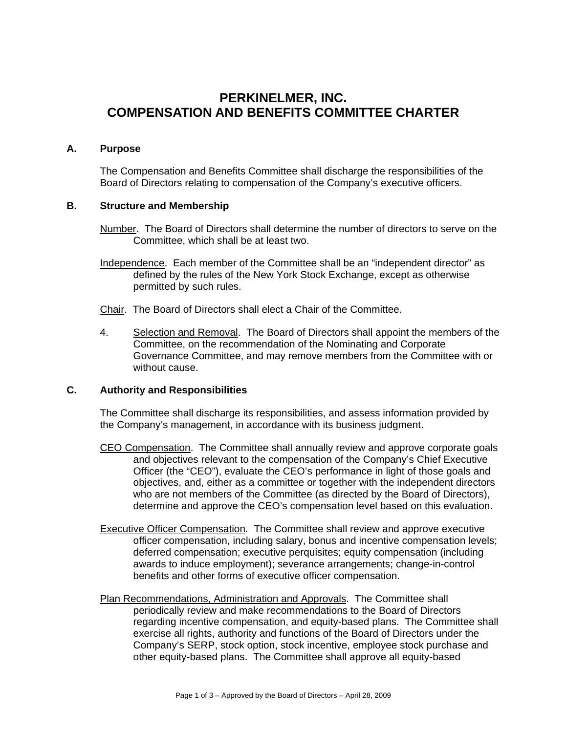# **PERKINELMER, INC. COMPENSATION AND BENEFITS COMMITTEE CHARTER**

## **A. Purpose**

The Compensation and Benefits Committee shall discharge the responsibilities of the Board of Directors relating to compensation of the Company's executive officers.

# **B. Structure and Membership**

- Number. The Board of Directors shall determine the number of directors to serve on the Committee, which shall be at least two.
- Independence. Each member of the Committee shall be an "independent director" as defined by the rules of the New York Stock Exchange, except as otherwise permitted by such rules.
- Chair. The Board of Directors shall elect a Chair of the Committee.
- 4. Selection and Removal. The Board of Directors shall appoint the members of the Committee, on the recommendation of the Nominating and Corporate Governance Committee, and may remove members from the Committee with or without cause.

#### **C. Authority and Responsibilities**

The Committee shall discharge its responsibilities, and assess information provided by the Company's management, in accordance with its business judgment.

- CEO Compensation. The Committee shall annually review and approve corporate goals and objectives relevant to the compensation of the Company's Chief Executive Officer (the "CEO"), evaluate the CEO's performance in light of those goals and objectives, and, either as a committee or together with the independent directors who are not members of the Committee (as directed by the Board of Directors), determine and approve the CEO's compensation level based on this evaluation.
- **Executive Officer Compensation.** The Committee shall review and approve executive officer compensation, including salary, bonus and incentive compensation levels; deferred compensation; executive perquisites; equity compensation (including awards to induce employment); severance arrangements; change-in-control benefits and other forms of executive officer compensation.
- Plan Recommendations, Administration and Approvals. The Committee shall periodically review and make recommendations to the Board of Directors regarding incentive compensation, and equity-based plans. The Committee shall exercise all rights, authority and functions of the Board of Directors under the Company's SERP, stock option, stock incentive, employee stock purchase and other equity-based plans. The Committee shall approve all equity-based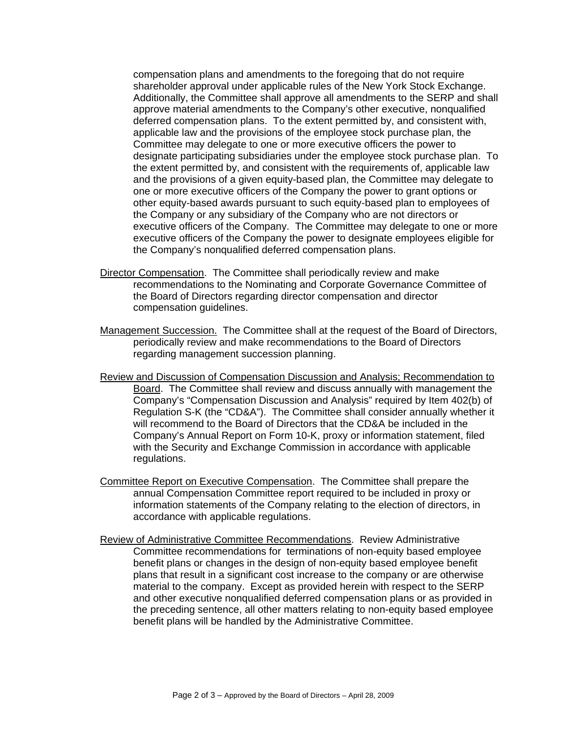compensation plans and amendments to the foregoing that do not require shareholder approval under applicable rules of the New York Stock Exchange. Additionally, the Committee shall approve all amendments to the SERP and shall approve material amendments to the Company's other executive, nonqualified deferred compensation plans. To the extent permitted by, and consistent with, applicable law and the provisions of the employee stock purchase plan, the Committee may delegate to one or more executive officers the power to designate participating subsidiaries under the employee stock purchase plan. To the extent permitted by, and consistent with the requirements of, applicable law and the provisions of a given equity-based plan, the Committee may delegate to one or more executive officers of the Company the power to grant options or other equity-based awards pursuant to such equity-based plan to employees of the Company or any subsidiary of the Company who are not directors or executive officers of the Company. The Committee may delegate to one or more executive officers of the Company the power to designate employees eligible for the Company's nonqualified deferred compensation plans.

- Director Compensation. The Committee shall periodically review and make recommendations to the Nominating and Corporate Governance Committee of the Board of Directors regarding director compensation and director compensation guidelines.
- Management Succession. The Committee shall at the request of the Board of Directors, periodically review and make recommendations to the Board of Directors regarding management succession planning.
- Review and Discussion of Compensation Discussion and Analysis; Recommendation to Board. The Committee shall review and discuss annually with management the Company's "Compensation Discussion and Analysis" required by Item 402(b) of Regulation S-K (the "CD&A"). The Committee shall consider annually whether it will recommend to the Board of Directors that the CD&A be included in the Company's Annual Report on Form 10-K, proxy or information statement, filed with the Security and Exchange Commission in accordance with applicable regulations.
- Committee Report on Executive Compensation. The Committee shall prepare the annual Compensation Committee report required to be included in proxy or information statements of the Company relating to the election of directors, in accordance with applicable regulations.
- Review of Administrative Committee Recommendations. Review Administrative Committee recommendations for terminations of non-equity based employee benefit plans or changes in the design of non-equity based employee benefit plans that result in a significant cost increase to the company or are otherwise material to the company. Except as provided herein with respect to the SERP and other executive nonqualified deferred compensation plans or as provided in the preceding sentence, all other matters relating to non-equity based employee benefit plans will be handled by the Administrative Committee.